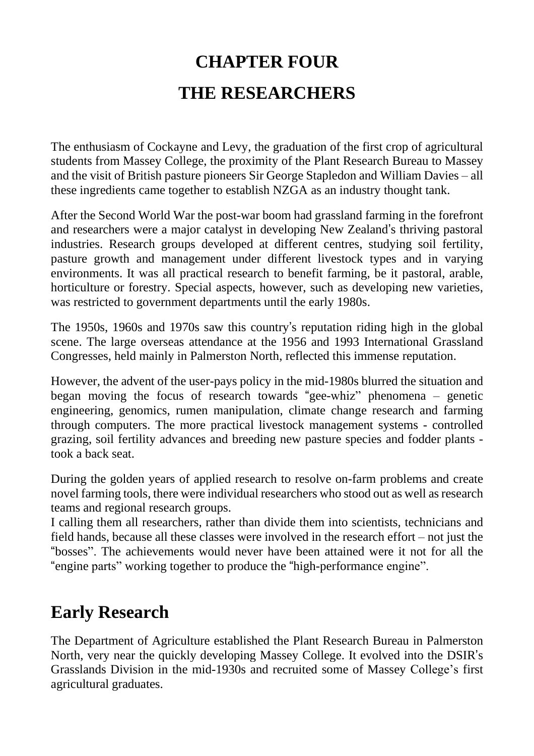# **CHAPTER FOUR THE RESEARCHERS**

The enthusiasm of Cockayne and Levy, the graduation of the first crop of agricultural students from Massey College, the proximity of the Plant Research Bureau to Massey and the visit of British pasture pioneers Sir George Stapledon and William Davies – all these ingredients came together to establish NZGA as an industry thought tank.

After the Second World War the post-war boom had grassland farming in the forefront and researchers were a major catalyst in developing New Zealand's thriving pastoral industries. Research groups developed at different centres, studying soil fertility, pasture growth and management under different livestock types and in varying environments. It was all practical research to benefit farming, be it pastoral, arable, horticulture or forestry. Special aspects, however, such as developing new varieties, was restricted to government departments until the early 1980s.

The 1950s, 1960s and 1970s saw this country's reputation riding high in the global scene. The large overseas attendance at the 1956 and 1993 International Grassland Congresses, held mainly in Palmerston North, reflected this immense reputation.

However, the advent of the user-pays policy in the mid-1980s blurred the situation and began moving the focus of research towards "gee-whiz" phenomena – genetic engineering, genomics, rumen manipulation, climate change research and farming through computers. The more practical livestock management systems - controlled grazing, soil fertility advances and breeding new pasture species and fodder plants took a back seat.

During the golden years of applied research to resolve on-farm problems and create novel farming tools, there were individual researchers who stood out as well as research teams and regional research groups.

I calling them all researchers, rather than divide them into scientists, technicians and field hands, because all these classes were involved in the research effort – not just the "bosses". The achievements would never have been attained were it not for all the "engine parts" working together to produce the "high-performance engine".

## **Early Research**

The Department of Agriculture established the Plant Research Bureau in Palmerston North, very near the quickly developing Massey College. It evolved into the DSIR's Grasslands Division in the mid-1930s and recruited some of Massey College's first agricultural graduates.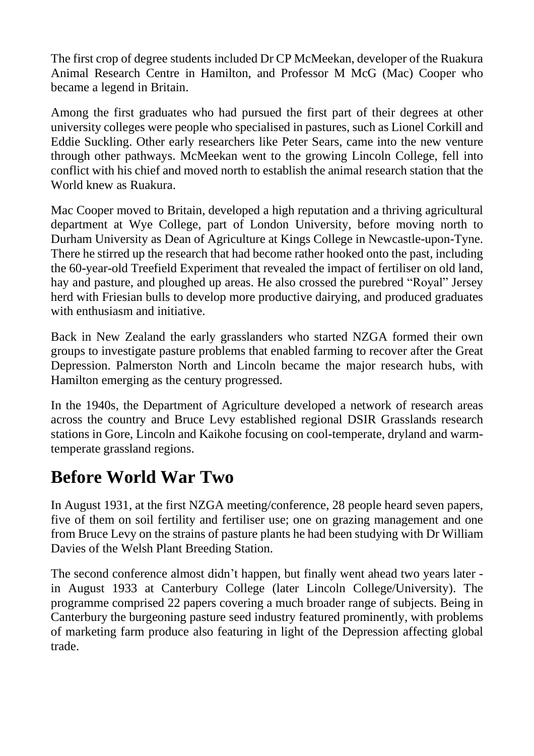The first crop of degree students included Dr CP McMeekan, developer of the Ruakura Animal Research Centre in Hamilton, and Professor M McG (Mac) Cooper who became a legend in Britain.

Among the first graduates who had pursued the first part of their degrees at other university colleges were people who specialised in pastures, such as Lionel Corkill and Eddie Suckling. Other early researchers like Peter Sears, came into the new venture through other pathways. McMeekan went to the growing Lincoln College, fell into conflict with his chief and moved north to establish the animal research station that the World knew as Ruakura.

Mac Cooper moved to Britain, developed a high reputation and a thriving agricultural department at Wye College, part of London University, before moving north to Durham University as Dean of Agriculture at Kings College in Newcastle-upon-Tyne. There he stirred up the research that had become rather hooked onto the past, including the 60-year-old Treefield Experiment that revealed the impact of fertiliser on old land, hay and pasture, and ploughed up areas. He also crossed the purebred "Royal" Jersey herd with Friesian bulls to develop more productive dairying, and produced graduates with enthusiasm and initiative.

Back in New Zealand the early grasslanders who started NZGA formed their own groups to investigate pasture problems that enabled farming to recover after the Great Depression. Palmerston North and Lincoln became the major research hubs, with Hamilton emerging as the century progressed.

In the 1940s, the Department of Agriculture developed a network of research areas across the country and Bruce Levy established regional DSIR Grasslands research stations in Gore, Lincoln and Kaikohe focusing on cool-temperate, dryland and warmtemperate grassland regions.

## **Before World War Two**

In August 1931, at the first NZGA meeting/conference, 28 people heard seven papers, five of them on soil fertility and fertiliser use; one on grazing management and one from Bruce Levy on the strains of pasture plants he had been studying with Dr William Davies of the Welsh Plant Breeding Station.

The second conference almost didn't happen, but finally went ahead two years later in August 1933 at Canterbury College (later Lincoln College/University). The programme comprised 22 papers covering a much broader range of subjects. Being in Canterbury the burgeoning pasture seed industry featured prominently, with problems of marketing farm produce also featuring in light of the Depression affecting global trade.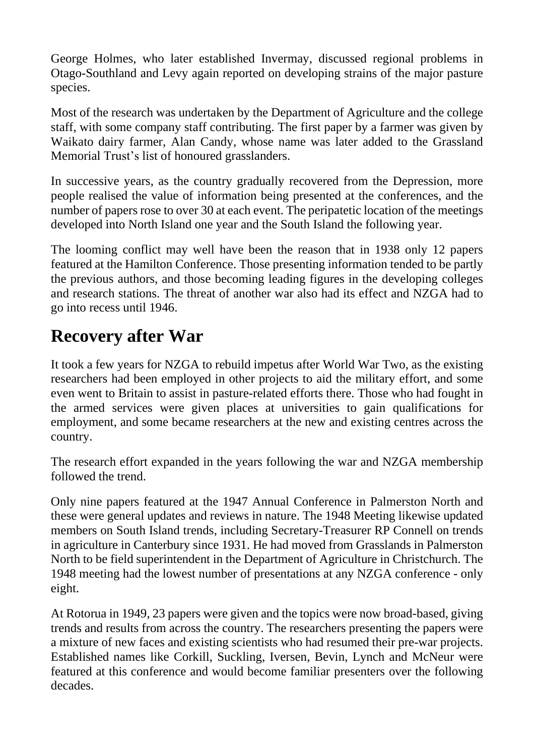George Holmes, who later established Invermay, discussed regional problems in Otago-Southland and Levy again reported on developing strains of the major pasture species.

Most of the research was undertaken by the Department of Agriculture and the college staff, with some company staff contributing. The first paper by a farmer was given by Waikato dairy farmer, Alan Candy, whose name was later added to the Grassland Memorial Trust's list of honoured grasslanders.

In successive years, as the country gradually recovered from the Depression, more people realised the value of information being presented at the conferences, and the number of papers rose to over 30 at each event. The peripatetic location of the meetings developed into North Island one year and the South Island the following year.

The looming conflict may well have been the reason that in 1938 only 12 papers featured at the Hamilton Conference. Those presenting information tended to be partly the previous authors, and those becoming leading figures in the developing colleges and research stations. The threat of another war also had its effect and NZGA had to go into recess until 1946.

## **Recovery after War**

It took a few years for NZGA to rebuild impetus after World War Two, as the existing researchers had been employed in other projects to aid the military effort, and some even went to Britain to assist in pasture-related efforts there. Those who had fought in the armed services were given places at universities to gain qualifications for employment, and some became researchers at the new and existing centres across the country.

The research effort expanded in the years following the war and NZGA membership followed the trend.

Only nine papers featured at the 1947 Annual Conference in Palmerston North and these were general updates and reviews in nature. The 1948 Meeting likewise updated members on South Island trends, including Secretary-Treasurer RP Connell on trends in agriculture in Canterbury since 1931. He had moved from Grasslands in Palmerston North to be field superintendent in the Department of Agriculture in Christchurch. The 1948 meeting had the lowest number of presentations at any NZGA conference - only eight.

At Rotorua in 1949, 23 papers were given and the topics were now broad-based, giving trends and results from across the country. The researchers presenting the papers were a mixture of new faces and existing scientists who had resumed their pre-war projects. Established names like Corkill, Suckling, Iversen, Bevin, Lynch and McNeur were featured at this conference and would become familiar presenters over the following decades.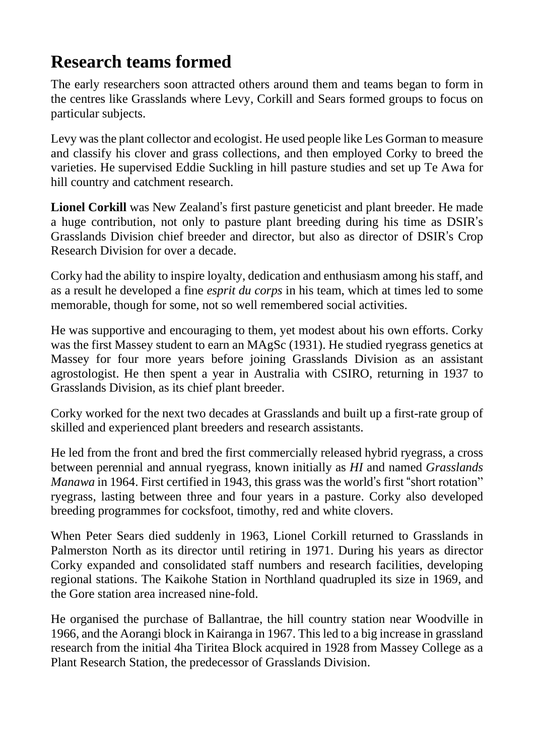## **Research teams formed**

The early researchers soon attracted others around them and teams began to form in the centres like Grasslands where Levy, Corkill and Sears formed groups to focus on particular subjects.

Levy was the plant collector and ecologist. He used people like Les Gorman to measure and classify his clover and grass collections, and then employed Corky to breed the varieties. He supervised Eddie Suckling in hill pasture studies and set up Te Awa for hill country and catchment research.

**Lionel Corkill** was New Zealand's first pasture geneticist and plant breeder. He made a huge contribution, not only to pasture plant breeding during his time as DSIR's Grasslands Division chief breeder and director, but also as director of DSIR's Crop Research Division for over a decade.

Corky had the ability to inspire loyalty, dedication and enthusiasm among his staff, and as a result he developed a fine *esprit du corps* in his team, which at times led to some memorable, though for some, not so well remembered social activities.

He was supportive and encouraging to them, yet modest about his own efforts. Corky was the first Massey student to earn an MAgSc (1931). He studied ryegrass genetics at Massey for four more years before joining Grasslands Division as an assistant agrostologist. He then spent a year in Australia with CSIRO, returning in 1937 to Grasslands Division, as its chief plant breeder.

Corky worked for the next two decades at Grasslands and built up a first-rate group of skilled and experienced plant breeders and research assistants.

He led from the front and bred the first commercially released hybrid ryegrass, a cross between perennial and annual ryegrass, known initially as *HI* and named *Grasslands Manawa* in 1964. First certified in 1943, this grass was the world's first "short rotation" ryegrass, lasting between three and four years in a pasture. Corky also developed breeding programmes for cocksfoot, timothy, red and white clovers.

When Peter Sears died suddenly in 1963, Lionel Corkill returned to Grasslands in Palmerston North as its director until retiring in 1971. During his years as director Corky expanded and consolidated staff numbers and research facilities, developing regional stations. The Kaikohe Station in Northland quadrupled its size in 1969, and the Gore station area increased nine-fold.

He organised the purchase of Ballantrae, the hill country station near Woodville in 1966, and the Aorangi block in Kairanga in 1967. This led to a big increase in grassland research from the initial 4ha Tiritea Block acquired in 1928 from Massey College as a Plant Research Station, the predecessor of Grasslands Division.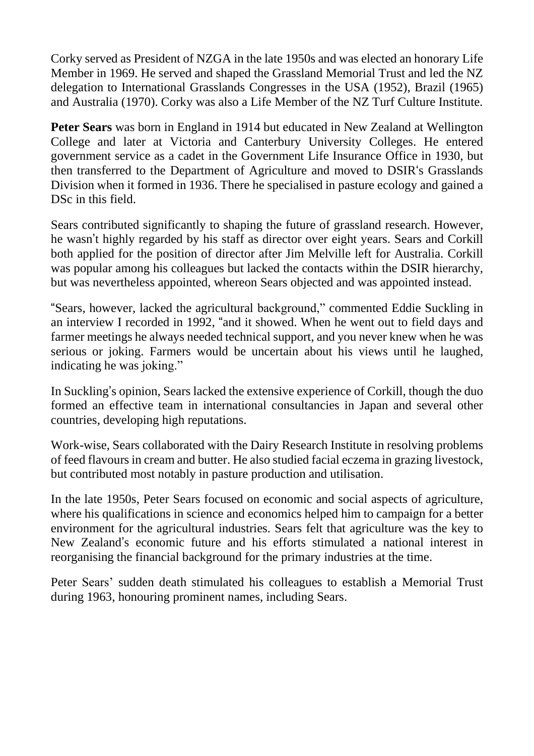Corky served as President of NZGA in the late 1950s and was elected an honorary Life Member in 1969. He served and shaped the Grassland Memorial Trust and led the NZ delegation to International Grasslands Congresses in the USA (1952), Brazil (1965) and Australia (1970). Corky was also a Life Member of the NZ Turf Culture Institute.

**Peter Sears** was born in England in 1914 but educated in New Zealand at Wellington College and later at Victoria and Canterbury University Colleges. He entered government service as a cadet in the Government Life Insurance Office in 1930, but then transferred to the Department of Agriculture and moved to DSIR's Grasslands Division when it formed in 1936. There he specialised in pasture ecology and gained a D<sub>Sc</sub> in this field.

Sears contributed significantly to shaping the future of grassland research. However, he wasn't highly regarded by his staff as director over eight years. Sears and Corkill both applied for the position of director after Jim Melville left for Australia. Corkill was popular among his colleagues but lacked the contacts within the DSIR hierarchy, but was nevertheless appointed, whereon Sears objected and was appointed instead.

"Sears, however, lacked the agricultural background," commented Eddie Suckling in an interview I recorded in 1992, "and it showed. When he went out to field days and farmer meetings he always needed technical support, and you never knew when he was serious or joking. Farmers would be uncertain about his views until he laughed, indicating he was joking."

In Suckling's opinion, Sears lacked the extensive experience of Corkill, though the duo formed an effective team in international consultancies in Japan and several other countries, developing high reputations.

Work-wise, Sears collaborated with the Dairy Research Institute in resolving problems of feed flavours in cream and butter. He also studied facial eczema in grazing livestock, but contributed most notably in pasture production and utilisation.

In the late 1950s, Peter Sears focused on economic and social aspects of agriculture, where his qualifications in science and economics helped him to campaign for a better environment for the agricultural industries. Sears felt that agriculture was the key to New Zealand's economic future and his efforts stimulated a national interest in reorganising the financial background for the primary industries at the time.

Peter Sears' sudden death stimulated his colleagues to establish a Memorial Trust during 1963, honouring prominent names, including Sears.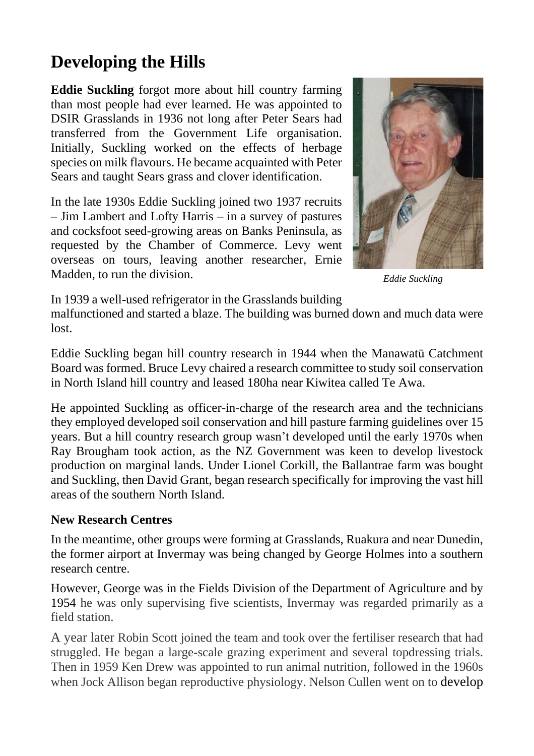# **Developing the Hills**

**Eddie Suckling** forgot more about hill country farming than most people had ever learned. He was appointed to DSIR Grasslands in 1936 not long after Peter Sears had transferred from the Government Life organisation. Initially, Suckling worked on the effects of herbage species on milk flavours. He became acquainted with Peter Sears and taught Sears grass and clover identification.

In the late 1930s Eddie Suckling joined two 1937 recruits – Jim Lambert and Lofty Harris – in a survey of pastures and cocksfoot seed-growing areas on Banks Peninsula, as requested by the Chamber of Commerce. Levy went overseas on tours, leaving another researcher, Ernie Madden, to run the division.



*Eddie Suckling*

In 1939 a well-used refrigerator in the Grasslands building

malfunctioned and started a blaze. The building was burned down and much data were lost.

Eddie Suckling began hill country research in 1944 when the Manawatū Catchment Board was formed. Bruce Levy chaired a research committee to study soil conservation in North Island hill country and leased 180ha near Kiwitea called Te Awa.

He appointed Suckling as officer-in-charge of the research area and the technicians they employed developed soil conservation and hill pasture farming guidelines over 15 years. But a hill country research group wasn't developed until the early 1970s when Ray Brougham took action, as the NZ Government was keen to develop livestock production on marginal lands. Under Lionel Corkill, the Ballantrae farm was bought and Suckling, then David Grant, began research specifically for improving the vast hill areas of the southern North Island.

#### **New Research Centres**

In the meantime, other groups were forming at Grasslands, Ruakura and near Dunedin, the former airport at Invermay was being changed by George Holmes into a southern research centre.

However, George was in the Fields Division of the Department of Agriculture and by 1954 he was only supervising five scientists, Invermay was regarded primarily as a field station.

A year later Robin Scott joined the team and took over the fertiliser research that had struggled. He began a large-scale grazing experiment and several topdressing trials. Then in 1959 Ken Drew was appointed to run animal nutrition, followed in the 1960s when Jock Allison began reproductive physiology. Nelson Cullen went on to develop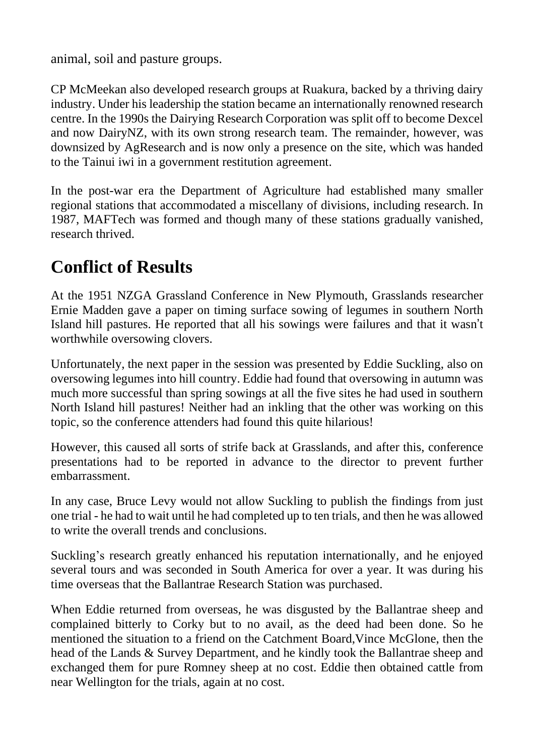animal, soil and pasture groups.

CP McMeekan also developed research groups at Ruakura, backed by a thriving dairy industry. Under his leadership the station became an internationally renowned research centre. In the 1990s the Dairying Research Corporation was split off to become Dexcel and now DairyNZ, with its own strong research team. The remainder, however, was downsized by AgResearch and is now only a presence on the site, which was handed to the Tainui iwi in a government restitution agreement.

In the post-war era the Department of Agriculture had established many smaller regional stations that accommodated a miscellany of divisions, including research. In 1987, MAFTech was formed and though many of these stations gradually vanished, research thrived.

## **Conflict of Results**

At the 1951 NZGA Grassland Conference in New Plymouth, Grasslands researcher Ernie Madden gave a paper on timing surface sowing of legumes in southern North Island hill pastures. He reported that all his sowings were failures and that it wasn't worthwhile oversowing clovers.

Unfortunately, the next paper in the session was presented by Eddie Suckling, also on oversowing legumes into hill country. Eddie had found that oversowing in autumn was much more successful than spring sowings at all the five sites he had used in southern North Island hill pastures! Neither had an inkling that the other was working on this topic, so the conference attenders had found this quite hilarious!

However, this caused all sorts of strife back at Grasslands, and after this, conference presentations had to be reported in advance to the director to prevent further embarrassment.

In any case, Bruce Levy would not allow Suckling to publish the findings from just one trial - he had to wait until he had completed up to ten trials, and then he was allowed to write the overall trends and conclusions.

Suckling's research greatly enhanced his reputation internationally, and he enjoyed several tours and was seconded in South America for over a year. It was during his time overseas that the Ballantrae Research Station was purchased.

When Eddie returned from overseas, he was disgusted by the Ballantrae sheep and complained bitterly to Corky but to no avail, as the deed had been done. So he mentioned the situation to a friend on the Catchment Board,Vince McGlone, then the head of the Lands & Survey Department, and he kindly took the Ballantrae sheep and exchanged them for pure Romney sheep at no cost. Eddie then obtained cattle from near Wellington for the trials, again at no cost.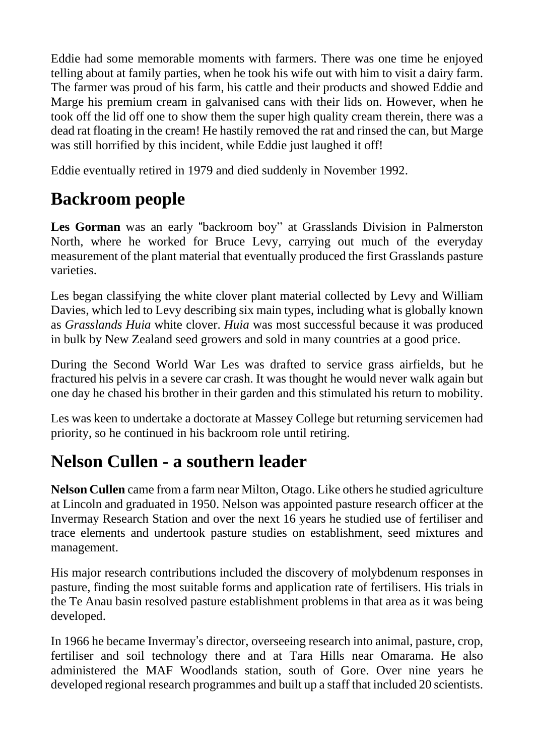Eddie had some memorable moments with farmers. There was one time he enjoyed telling about at family parties, when he took his wife out with him to visit a dairy farm. The farmer was proud of his farm, his cattle and their products and showed Eddie and Marge his premium cream in galvanised cans with their lids on. However, when he took off the lid off one to show them the super high quality cream therein, there was a dead rat floating in the cream! He hastily removed the rat and rinsed the can, but Marge was still horrified by this incident, while Eddie just laughed it off!

Eddie eventually retired in 1979 and died suddenly in November 1992.

# **Backroom people**

**Les Gorman** was an early "backroom boy" at Grasslands Division in Palmerston North, where he worked for Bruce Levy, carrying out much of the everyday measurement of the plant material that eventually produced the first Grasslands pasture varieties.

Les began classifying the white clover plant material collected by Levy and William Davies, which led to Levy describing six main types, including what is globally known as *Grasslands Huia* white clover. *Huia* was most successful because it was produced in bulk by New Zealand seed growers and sold in many countries at a good price.

During the Second World War Les was drafted to service grass airfields, but he fractured his pelvis in a severe car crash. It was thought he would never walk again but one day he chased his brother in their garden and this stimulated his return to mobility.

Les was keen to undertake a doctorate at Massey College but returning servicemen had priority, so he continued in his backroom role until retiring.

# **Nelson Cullen - a southern leader**

**Nelson Cullen** came from a farm near Milton, Otago. Like others he studied agriculture at Lincoln and graduated in 1950. Nelson was appointed pasture research officer at the Invermay Research Station and over the next 16 years he studied use of fertiliser and trace elements and undertook pasture studies on establishment, seed mixtures and management.

His major research contributions included the discovery of molybdenum responses in pasture, finding the most suitable forms and application rate of fertilisers. His trials in the Te Anau basin resolved pasture establishment problems in that area as it was being developed.

In 1966 he became Invermay's director, overseeing research into animal, pasture, crop, fertiliser and soil technology there and at Tara Hills near Omarama. He also administered the MAF Woodlands station, south of Gore. Over nine years he developed regional research programmes and built up a staff that included 20 scientists.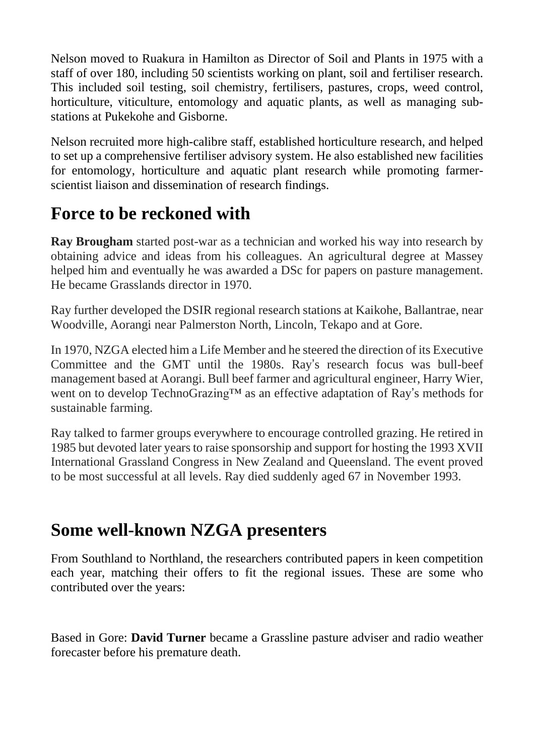Nelson moved to Ruakura in Hamilton as Director of Soil and Plants in 1975 with a staff of over 180, including 50 scientists working on plant, soil and fertiliser research. This included soil testing, soil chemistry, fertilisers, pastures, crops, weed control, horticulture, viticulture, entomology and aquatic plants, as well as managing substations at Pukekohe and Gisborne.

Nelson recruited more high-calibre staff, established horticulture research, and helped to set up a comprehensive fertiliser advisory system. He also established new facilities for entomology, horticulture and aquatic plant research while promoting farmerscientist liaison and dissemination of research findings.

#### **Force to be reckoned with**

**Ray Brougham** started post-war as a technician and worked his way into research by obtaining advice and ideas from his colleagues. An agricultural degree at Massey helped him and eventually he was awarded a DSc for papers on pasture management. He became Grasslands director in 1970.

Ray further developed the DSIR regional research stations at Kaikohe, Ballantrae, near Woodville, Aorangi near Palmerston North, Lincoln, Tekapo and at Gore.

In 1970, NZGA elected him a Life Member and he steered the direction of its Executive Committee and the GMT until the 1980s. Ray's research focus was bull-beef management based at Aorangi. Bull beef farmer and agricultural engineer, Harry Wier, went on to develop TechnoGrazing™ as an effective adaptation of Ray's methods for sustainable farming.

Ray talked to farmer groups everywhere to encourage controlled grazing. He retired in 1985 but devoted later years to raise sponsorship and support for hosting the 1993 XVII International Grassland Congress in New Zealand and Queensland. The event proved to be most successful at all levels. Ray died suddenly aged 67 in November 1993.

## **Some well-known NZGA presenters**

From Southland to Northland, the researchers contributed papers in keen competition each year, matching their offers to fit the regional issues. These are some who contributed over the years:

Based in Gore: **David Turner** became a Grassline pasture adviser and radio weather forecaster before his premature death.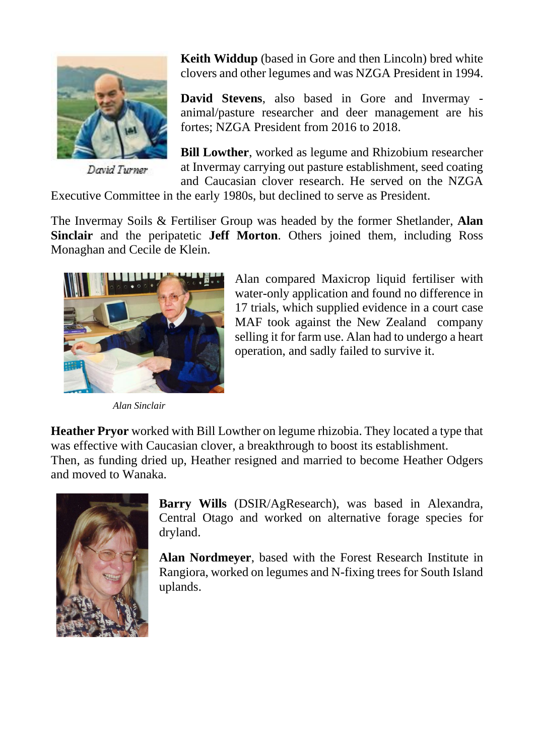

David Turner

**Keith Widdup** (based in Gore and then Lincoln) bred white clovers and other legumes and was NZGA President in 1994.

**David Stevens**, also based in Gore and Invermay animal/pasture researcher and deer management are his fortes; NZGA President from 2016 to 2018.

**Bill Lowther**, worked as legume and Rhizobium researcher at Invermay carrying out pasture establishment, seed coating and Caucasian clover research. He served on the NZGA

Executive Committee in the early 1980s, but declined to serve as President.

The Invermay Soils & Fertiliser Group was headed by the former Shetlander, **Alan Sinclair** and the peripatetic **Jeff Morton**. Others joined them, including Ross Monaghan and Cecile de Klein.



*Alan Sinclair*

Alan compared Maxicrop liquid fertiliser with water-only application and found no difference in 17 trials, which supplied evidence in a court case MAF took against the New Zealand company selling it for farm use. Alan had to undergo a heart operation, and sadly failed to survive it.

**Heather Pryor** worked with Bill Lowther on legume rhizobia. They located a type that was effective with Caucasian clover, a breakthrough to boost its establishment. Then, as funding dried up, Heather resigned and married to become Heather Odgers and moved to Wanaka.



**Barry Wills** (DSIR/AgResearch), was based in Alexandra, Central Otago and worked on alternative forage species for dryland.

**Alan Nordmeyer**, based with the Forest Research Institute in Rangiora, worked on legumes and N-fixing trees for South Island uplands.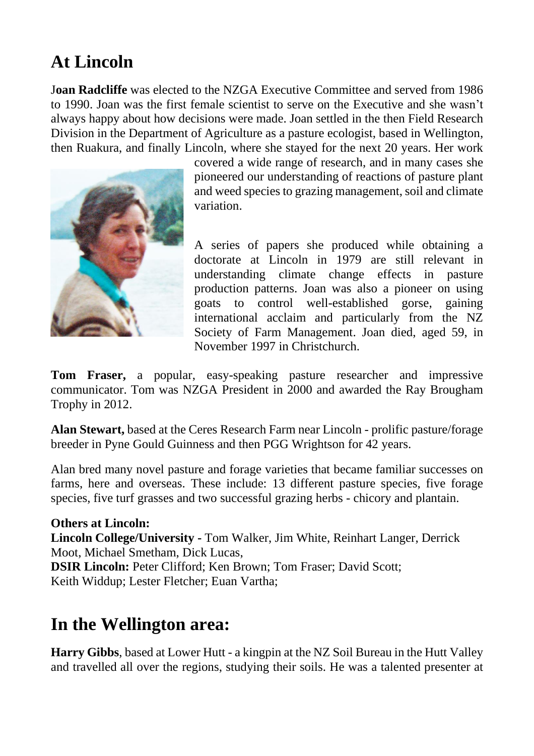# **At Lincoln**

J**oan Radcliffe** was elected to the NZGA Executive Committee and served from 1986 to 1990. Joan was the first female scientist to serve on the Executive and she wasn't always happy about how decisions were made. Joan settled in the then Field Research Division in the Department of Agriculture as a pasture ecologist, based in Wellington, then Ruakura, and finally Lincoln, where she stayed for the next 20 years. Her work



covered a wide range of research, and in many cases she pioneered our understanding of reactions of pasture plant and weed species to grazing management, soil and climate variation.

A series of papers she produced while obtaining a doctorate at Lincoln in 1979 are still relevant in understanding climate change effects in pasture production patterns. Joan was also a pioneer on using goats to control well-established gorse, gaining international acclaim and particularly from the NZ Society of Farm Management. Joan died, aged 59, in November 1997 in Christchurch.

**Tom Fraser,** a popular, easy-speaking pasture researcher and impressive communicator. Tom was NZGA President in 2000 and awarded the Ray Brougham Trophy in 2012.

**Alan Stewart,** based at the Ceres Research Farm near Lincoln - prolific pasture/forage breeder in Pyne Gould Guinness and then PGG Wrightson for 42 years.

Alan bred many novel pasture and forage varieties that became familiar successes on farms, here and overseas. These include: 13 different pasture species, five forage species, five turf grasses and two successful grazing herbs - chicory and plantain.

#### **Others at Lincoln:**

**Lincoln College/University -** Tom Walker, Jim White, Reinhart Langer, Derrick Moot, Michael Smetham, Dick Lucas,

**DSIR Lincoln:** Peter Clifford; Ken Brown; Tom Fraser; David Scott; Keith Widdup; Lester Fletcher; Euan Vartha;

#### **In the Wellington area:**

**Harry Gibbs**, based at Lower Hutt - a kingpin at the NZ Soil Bureau in the Hutt Valley and travelled all over the regions, studying their soils. He was a talented presenter at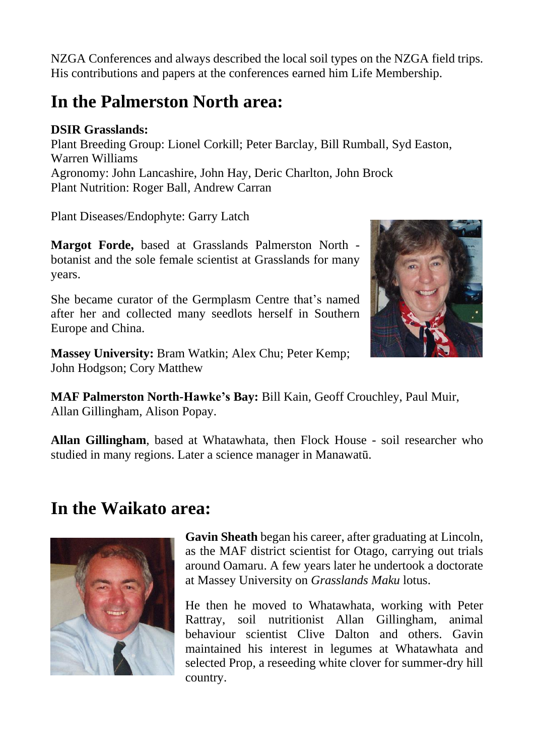NZGA Conferences and always described the local soil types on the NZGA field trips. His contributions and papers at the conferences earned him Life Membership.

#### **In the Palmerston North area:**

#### **DSIR Grasslands:**

Plant Breeding Group: Lionel Corkill; Peter Barclay, Bill Rumball, Syd Easton, Warren Williams Agronomy: John Lancashire, John Hay, Deric Charlton, John Brock Plant Nutrition: Roger Ball, Andrew Carran

Plant Diseases/Endophyte: Garry Latch

**Margot Forde,** based at Grasslands Palmerston North botanist and the sole female scientist at Grasslands for many years.

She became curator of the Germplasm Centre that's named after her and collected many seedlots herself in Southern Europe and China.

**Massey University:** Bram Watkin; Alex Chu; Peter Kemp; John Hodgson; Cory Matthew



**MAF Palmerston North-Hawke's Bay:** Bill Kain, Geoff Crouchley, Paul Muir, Allan Gillingham, Alison Popay.

**Allan Gillingham**, based at Whatawhata, then Flock House - soil researcher who studied in many regions. Later a science manager in Manawatū.

#### **In the Waikato area:**



**Gavin Sheath** began his career, after graduating at Lincoln, as the MAF district scientist for Otago, carrying out trials around Oamaru. A few years later he undertook a doctorate at Massey University on *Grasslands Maku* lotus.

He then he moved to Whatawhata, working with Peter Rattray, soil nutritionist Allan Gillingham, animal behaviour scientist Clive Dalton and others. Gavin maintained his interest in legumes at Whatawhata and selected Prop, a reseeding white clover for summer-dry hill country.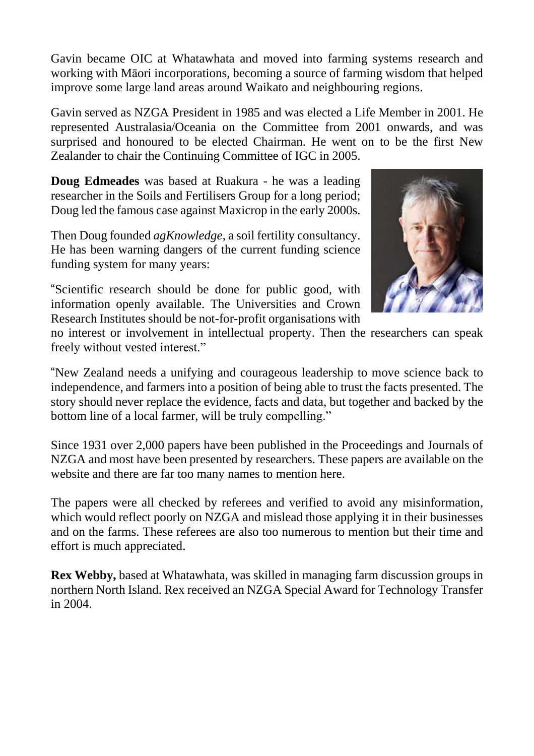Gavin became OIC at Whatawhata and moved into farming systems research and working with Māori incorporations, becoming a source of farming wisdom that helped improve some large land areas around Waikato and neighbouring regions.

Gavin served as NZGA President in 1985 and was elected a Life Member in 2001. He represented Australasia/Oceania on the Committee from 2001 onwards, and was surprised and honoured to be elected Chairman. He went on to be the first New Zealander to chair the Continuing Committee of IGC in 2005.

**Doug Edmeades** was based at Ruakura - he was a leading researcher in the Soils and Fertilisers Group for a long period; Doug led the famous case against Maxicrop in the early 2000s.

Then Doug founded *agKnowledge*, a soil fertility consultancy. He has been warning dangers of the current funding science funding system for many years:

"Scientific research should be done for public good, with information openly available. The Universities and Crown Research Institutes should be not-for-profit organisations with



no interest or involvement in intellectual property. Then the researchers can speak freely without vested interest."

"New Zealand needs a unifying and courageous leadership to move science back to independence, and farmers into a position of being able to trust the facts presented. The story should never replace the evidence, facts and data, but together and backed by the bottom line of a local farmer, will be truly compelling."

Since 1931 over 2,000 papers have been published in the Proceedings and Journals of NZGA and most have been presented by researchers. These papers are available on the website and there are far too many names to mention here.

The papers were all checked by referees and verified to avoid any misinformation, which would reflect poorly on NZGA and mislead those applying it in their businesses and on the farms. These referees are also too numerous to mention but their time and effort is much appreciated.

**Rex Webby,** based at Whatawhata, was skilled in managing farm discussion groups in northern North Island. Rex received an NZGA Special Award for Technology Transfer in 2004.